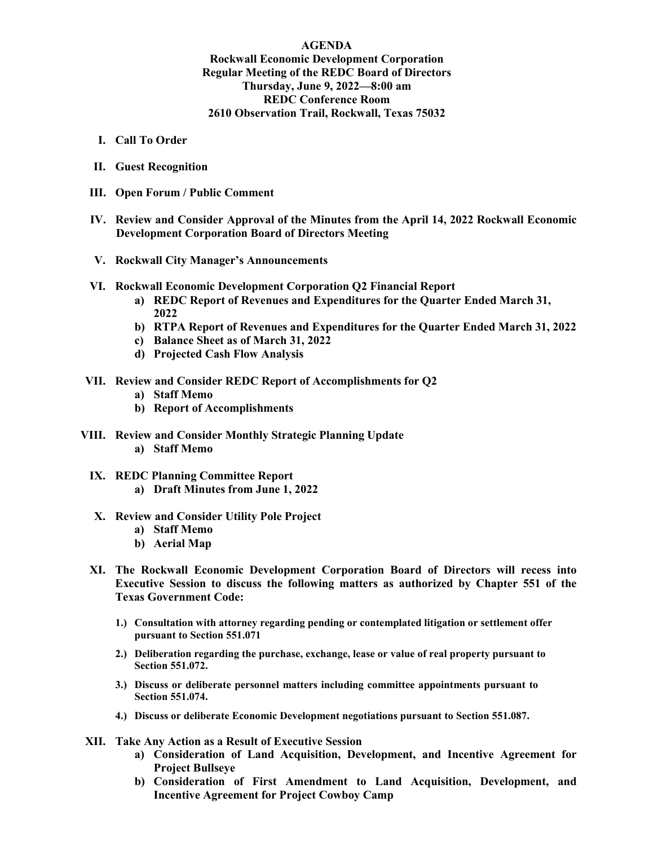## **AGENDA Rockwall Economic Development Corporation Regular Meeting of the REDC Board of Directors Thursday, June 9, 2022—8:00 am REDC Conference Room 2610 Observation Trail, Rockwall, Texas 75032**

- **I. Call To Order**
- **II. Guest Recognition**
- **III. Open Forum / Public Comment**
- **IV. Review and Consider Approval of the Minutes from the April 14, 2022 Rockwall Economic Development Corporation Board of Directors Meeting**
- **V. Rockwall City Manager's Announcements**
- **VI. Rockwall Economic Development Corporation Q2 Financial Report**
	- **a) REDC Report of Revenues and Expenditures for the Quarter Ended March 31, 2022**
	- **b) RTPA Report of Revenues and Expenditures for the Quarter Ended March 31, 2022**
	- **c) Balance Sheet as of March 31, 2022**
	- **d) Projected Cash Flow Analysis**
- **VII. Review and Consider REDC Report of Accomplishments for Q2**
	- **a) Staff Memo**
	- **b) Report of Accomplishments**
- **VIII. Review and Consider Monthly Strategic Planning Update**
	- **a) Staff Memo**
	- **IX. REDC Planning Committee Report a) Draft Minutes from June 1, 2022**
	- **X. Review and Consider Utility Pole Project**
		- **a) Staff Memo**
		- **b) Aerial Map**
	- **XI. The Rockwall Economic Development Corporation Board of Directors will recess into Executive Session to discuss the following matters as authorized by Chapter 551 of the Texas Government Code:**
		- **1.) Consultation with attorney regarding pending or contemplated litigation or settlement offer pursuant to Section 551.071**
		- **2.) Deliberation regarding the purchase, exchange, lease or value of real property pursuant to Section 551.072.**
		- **3.) Discuss or deliberate personnel matters including committee appointments pursuant to Section 551.074.**
		- **4.) Discuss or deliberate Economic Development negotiations pursuant to Section 551.087.**
- **XII. Take Any Action as a Result of Executive Session**
	- **a) Consideration of Land Acquisition, Development, and Incentive Agreement for Project Bullseye**
	- **b) Consideration of First Amendment to Land Acquisition, Development, and Incentive Agreement for Project Cowboy Camp**